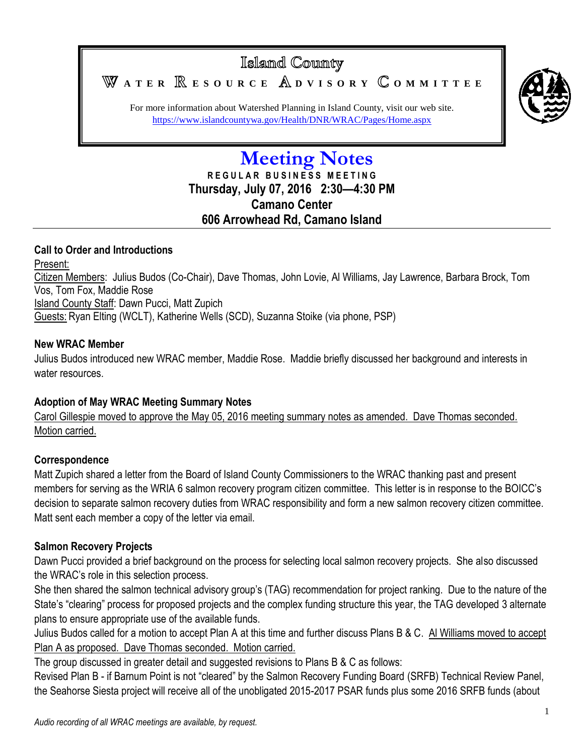Islamd County **A T E R E S O U R C E D V I S O R Y O M M I T T E E**



For more information about Watershed Planning in Island County, visit our web site. <https://www.islandcountywa.gov/Health/DNR/WRAC/Pages/Home.aspx>

# **Meeting Notes R E G U L A R B U S I N E S S M E E T I N G Thursday, July 07, 2016 2:30—4:30 PM Camano Center 606 Arrowhead Rd, Camano Island**

### **Call to Order and Introductions**

Present: Citizen Members: Julius Budos (Co-Chair), Dave Thomas, John Lovie, Al Williams, Jay Lawrence, Barbara Brock, Tom Vos, Tom Fox, Maddie Rose Island County Staff: Dawn Pucci, Matt Zupich Guests: Ryan Elting (WCLT), Katherine Wells (SCD), Suzanna Stoike (via phone, PSP)

### **New WRAC Member**

Julius Budos introduced new WRAC member, Maddie Rose. Maddie briefly discussed her background and interests in water resources

# **Adoption of May WRAC Meeting Summary Notes**

Carol Gillespie moved to approve the May 05, 2016 meeting summary notes as amended. Dave Thomas seconded. Motion carried.

# **Correspondence**

Matt Zupich shared a letter from the Board of Island County Commissioners to the WRAC thanking past and present members for serving as the WRIA 6 salmon recovery program citizen committee. This letter is in response to the BOICC's decision to separate salmon recovery duties from WRAC responsibility and form a new salmon recovery citizen committee. Matt sent each member a copy of the letter via email.

# **Salmon Recovery Projects**

Dawn Pucci provided a brief background on the process for selecting local salmon recovery projects. She also discussed the WRAC's role in this selection process.

She then shared the salmon technical advisory group's (TAG) recommendation for project ranking. Due to the nature of the State's "clearing" process for proposed projects and the complex funding structure this year, the TAG developed 3 alternate plans to ensure appropriate use of the available funds.

Julius Budos called for a motion to accept Plan A at this time and further discuss Plans B & C. Al Williams moved to accept Plan A as proposed. Dave Thomas seconded. Motion carried.

The group discussed in greater detail and suggested revisions to Plans B & C as follows:

Revised Plan B - if Barnum Point is not "cleared" by the Salmon Recovery Funding Board (SRFB) Technical Review Panel, the Seahorse Siesta project will receive all of the unobligated 2015-2017 PSAR funds plus some 2016 SRFB funds (about